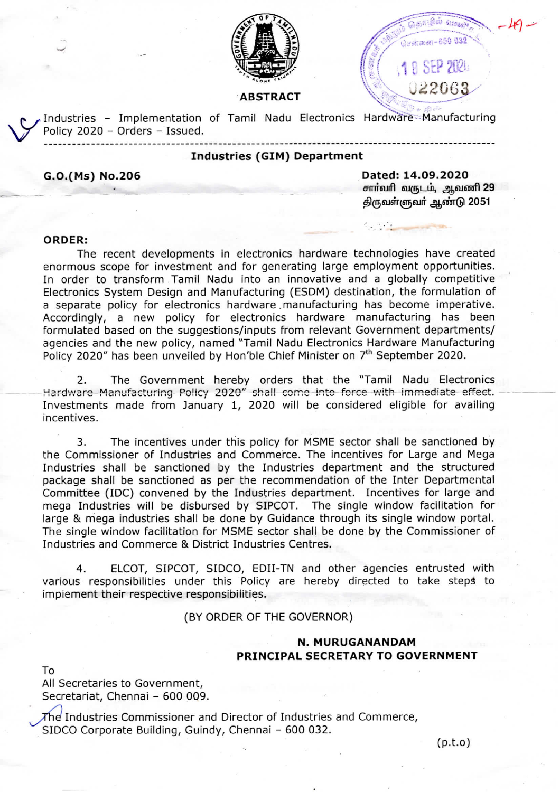

# **ABSTRACT**

Industries - Implementation of Tamil Nadu Electronics Hardware Manufacturing Policy 2020 - Orders - Issued.

## **Industries (GIM) Department**

G.O.(Ms) No.206

Dated: 14.09.2020 சார்வரி வருடம், ஆவணி 29 திருவள்ளுவர் ஆண்டு 2051

ிசன்னை - 600 032

1 0 SEP 2024

022063

#### ORDER:

The recent developments in electronics hardware technologies have created enormous scope for investment and for generating large employment opportunities. In order to transform Tamil Nadu into an innovative and a globally competitive Electronics System Design and Manufacturing (ESDM) destination, the formulation of a separate policy for electronics hardware manufacturing has become imperative. Accordingly, a new policy for electronics hardware manufacturing has been formulated based on the suggestions/inputs from relevant Government departments/ agencies and the new policy, named "Tamil Nadu Electronics Hardware Manufacturing Policy 2020" has been unveiled by Hon'ble Chief Minister on 7<sup>th</sup> September 2020.

The Government hereby orders that the "Tamil Nadu Electronics 2. Hardware Manufacturing Policy 2020" shall come into force with immediate effect. Investments made from January 1, 2020 will be considered eligible for availing incentives.

 $3.$ The incentives under this policy for MSME sector shall be sanctioned by the Commissioner of Industries and Commerce. The incentives for Large and Mega Industries shall be sanctioned by the Industries department and the structured package shall be sanctioned as per the recommendation of the Inter Departmental Committee (IDC) convened by the Industries department. Incentives for large and mega Industries will be disbursed by SIPCOT. The single window facilitation for large & mega industries shall be done by Guidance through its single window portal. The single window facilitation for MSME sector shall be done by the Commissioner of Industries and Commerce & District Industries Centres.

ELCOT, SIPCOT, SIDCO, EDII-TN and other agencies entrusted with 4. various responsibilities under this Policy are hereby directed to take steps to implement their respective responsibilities.

## (BY ORDER OF THE GOVERNOR)

# N. MURUGANANDAM PRINCIPAL SECRETARY TO GOVERNMENT

To

All Secretaries to Government, Secretariat, Chennai - 600 009.

 $\chi$ he Industries Commissioner and Director of Industries and Commerce, SIDCO Corporate Building, Guindy, Chennai - 600 032.

 $(p.t. o)$